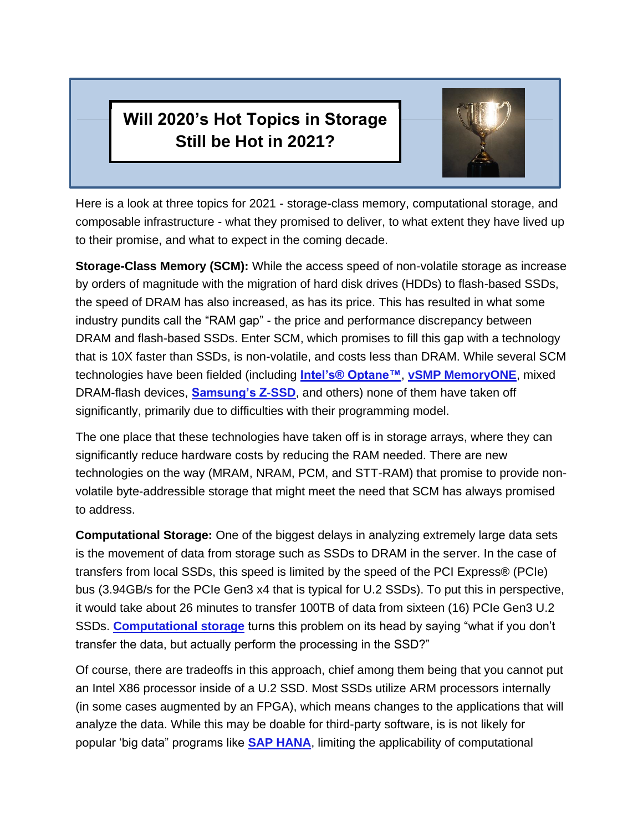## **Will 2020's Hot Topics in Storage Still be Hot in 2021?**



Here is a look at three topics for 2021 - storage-class memory, computational storage, and composable infrastructure - what they promised to deliver, to what extent they have lived up to their promise, and what to expect in the coming decade.

**Storage-Class Memory (SCM):** While the access speed of non-volatile storage as increase by orders of magnitude with the migration of hard disk drives (HDDs) to flash-based SSDs, the speed of DRAM has also increased, as has its price. This has resulted in what some industry pundits call the "RAM gap" - the price and performance discrepancy between DRAM and flash-based SSDs. Enter SCM, which promises to fill this gap with a technology that is 10X faster than SSDs, is non-volatile, and costs less than DRAM. While several SCM technologies have been fielded (including **[Intel's® Optane™](https://www.intel.com/content/www/us/en/architecture-and-technology/intel-optane-technology.html)**, **[vSMP MemoryONE](https://www.scalemp.com/products/vsmp-memoryone/)**, mixed DRAM-flash devices, **[Samsung's Z-SSD](https://www.samsung.com/semiconductor/ssd/z-ssd/)**, and others) none of them have taken off significantly, primarily due to difficulties with their programming model.

The one place that these technologies have taken off is in storage arrays, where they can significantly reduce hardware costs by reducing the RAM needed. There are new technologies on the way (MRAM, NRAM, PCM, and STT-RAM) that promise to provide nonvolatile byte-addressible storage that might meet the need that SCM has always promised to address.

**Computational Storage:** One of the biggest delays in analyzing extremely large data sets is the movement of data from storage such as SSDs to DRAM in the server. In the case of transfers from local SSDs, this speed is limited by the speed of the PCI Express® (PCIe) bus (3.94GB/s for the PCIe Gen3 x4 that is typical for U.2 SSDs). To put this in perspective, it would take about 26 minutes to transfer 100TB of data from sixteen (16) PCIe Gen3 U.2 SSDs. **[Computational storage](https://www.youtube.com/watch?v=qmHowgctp2M&feature=youtu.behttps://www.youtube.com/watch?v=qmHowgctp2M&feature=youtu.be)** turns this problem on its head by saying "what if you don't transfer the data, but actually perform the processing in the SSD?"

Of course, there are tradeoffs in this approach, chief among them being that you cannot put an Intel X86 processor inside of a U.2 SSD. Most SSDs utilize ARM processors internally (in some cases augmented by an FPGA), which means changes to the applications that will analyze the data. While this may be doable for third-party software, is is not likely for popular 'big data" programs like **[SAP HANA](https://www.sap.com/products/hana.html?btp=fce58374-dda7-40e7-a5b4-80d01ec7d207)**, limiting the applicability of computational